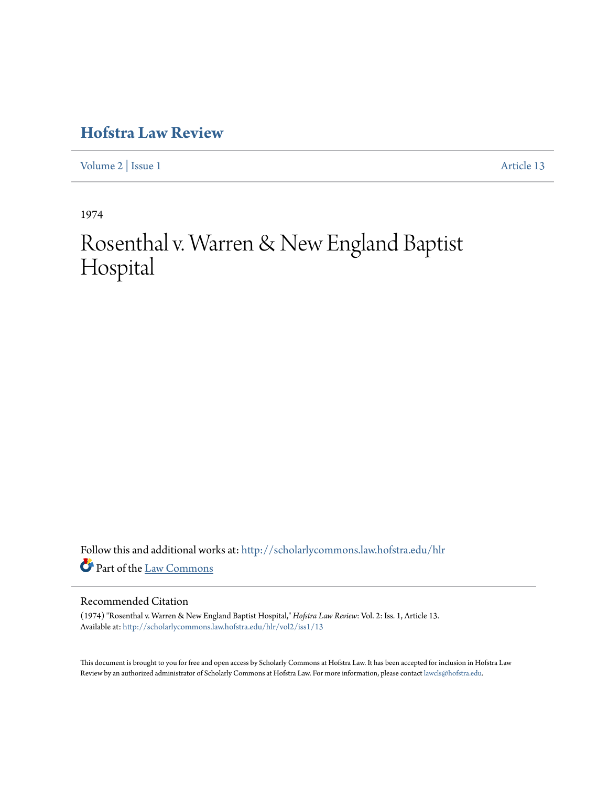[Volume 2](http://scholarlycommons.law.hofstra.edu/hlr/vol2?utm_source=scholarlycommons.law.hofstra.edu%2Fhlr%2Fvol2%2Fiss1%2F13&utm_medium=PDF&utm_campaign=PDFCoverPages) | [Issue 1](http://scholarlycommons.law.hofstra.edu/hlr/vol2/iss1?utm_source=scholarlycommons.law.hofstra.edu%2Fhlr%2Fvol2%2Fiss1%2F13&utm_medium=PDF&utm_campaign=PDFCoverPages) [Article 13](http://scholarlycommons.law.hofstra.edu/hlr/vol2/iss1/13?utm_source=scholarlycommons.law.hofstra.edu%2Fhlr%2Fvol2%2Fiss1%2F13&utm_medium=PDF&utm_campaign=PDFCoverPages)

1974

# Rosenthal v. Warren & New England Baptist Hospital

Follow this and additional works at: [http://scholarlycommons.law.hofstra.edu/hlr](http://scholarlycommons.law.hofstra.edu/hlr?utm_source=scholarlycommons.law.hofstra.edu%2Fhlr%2Fvol2%2Fiss1%2F13&utm_medium=PDF&utm_campaign=PDFCoverPages) Part of the [Law Commons](http://network.bepress.com/hgg/discipline/578?utm_source=scholarlycommons.law.hofstra.edu%2Fhlr%2Fvol2%2Fiss1%2F13&utm_medium=PDF&utm_campaign=PDFCoverPages)

## Recommended Citation

(1974) "Rosenthal v. Warren & New England Baptist Hospital," *Hofstra Law Review*: Vol. 2: Iss. 1, Article 13. Available at: [http://scholarlycommons.law.hofstra.edu/hlr/vol2/iss1/13](http://scholarlycommons.law.hofstra.edu/hlr/vol2/iss1/13?utm_source=scholarlycommons.law.hofstra.edu%2Fhlr%2Fvol2%2Fiss1%2F13&utm_medium=PDF&utm_campaign=PDFCoverPages)

This document is brought to you for free and open access by Scholarly Commons at Hofstra Law. It has been accepted for inclusion in Hofstra Law Review by an authorized administrator of Scholarly Commons at Hofstra Law. For more information, please contact [lawcls@hofstra.edu](mailto:lawcls@hofstra.edu).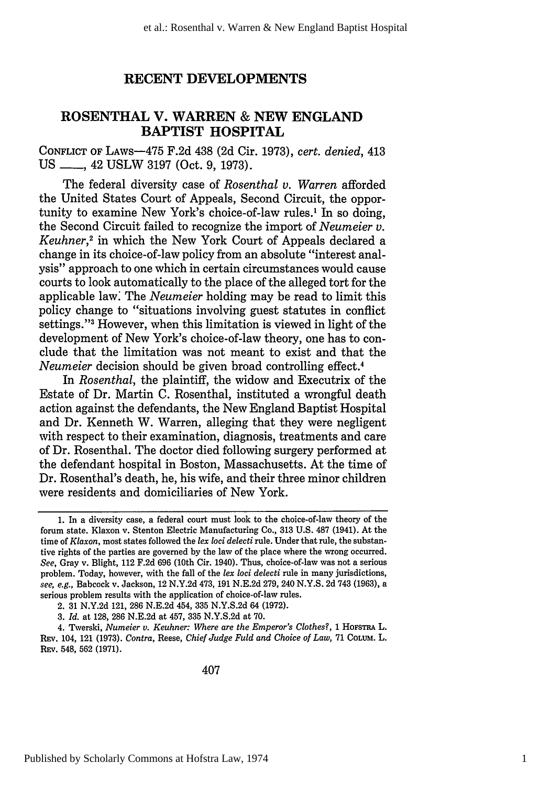## **RECENT DEVELOPMENTS**

## **ROSENTHAL V. WARREN & NEW ENGLAND BAPTIST HOSPITAL**

CONFLICT OF LAws-475 F.2d 438 (2d Cir. 1973), *cert. denied,* 413 US <sub>-6,</sub> 42 USLW 3197 (Oct. 9, 1973).

The federal diversity case of *Rosenthal v. Warren* afforded the United States Court of Appeals, Second Circuit, the opportunity to examine New York's choice-of-law rules.' In so doing, the Second Circuit failed to recognize the import of *Neumeier v. Keuhner,2* in which the New York Court of Appeals declared a change in its choice-of-law policy from an absolute "interest analysis" approach to one which in certain circumstances would cause courts to look automatically to the place of the alleged tort for the applicable law: The *Neumeier* holding may be read to limit this policy change to "situations involving guest statutes in conflict settings."<sup>3</sup> However, when this limitation is viewed in light of the development of New York's choice-of-law theory, one has to conclude that the limitation was not meant to exist and that the *Neumeier* decision should be given broad controlling effect.4

In *Rosenthal,* the plaintiff, the widow and Executrix of the Estate of Dr. Martin C. Rosenthal, instituted a wrongful death action against the defendants, the New England Baptist Hospital and Dr. Kenneth W. Warren, alleging that they were negligent with respect to their examination, diagnosis, treatments and care of Dr. Rosenthal. The doctor died following surgery performed at the defendant hospital in Boston, Massachusetts. At the time of Dr. Rosenthal's death, he, his wife, and their three minor children were residents and domiciliaries of New York.

<sup>1.</sup> In a diversity case, a federal court must look to the choice-of-law theory of the forum state. Klaxon v. Stenton Electric Manufacturing Co., 313 U.S. 487 (1941). At the time of *Klaxon,* most states followed the *lex loci delecti* rule. Under that rule, the substantive rights of the parties are governed by the law of the place where the wrong occurred. *See,* Gray v. Blight, 112 F.2d 696 (10th Cir. 1940). Thus, choice-of-law was not a serious problem. Today, however, with the fall of the *lex loci delecti* rule in many jurisdictions, *see, e.g.,* Babcock v. Jackson, 12 N.Y.2d 473, 191 N.E.2d 279, 240 N.Y.S. 2d 743 (1963), a serious problem results with the application of choice-of-law rules.

<sup>2.</sup> **31 N.Y.2d** 121, 286 **N.E.2d** 454, **335 N.Y.S.2d** 64 **(1972).**

**<sup>3.</sup>** *Id.* at **128, 286 N.E.2d** at 457, **335 N.Y.S.2d** at **70.**

<sup>4.</sup> Twerski, *Numeier v. Keuhner: Where are the Emperor's Clothes?*, 1 Horstra L. REv. 104, 121 **(1973).** *Contra,* Reese, *Chief Judge Fuld and Choice of Law,* **71 CoLtUm.** L. **REv.** 548, **562 (1971).**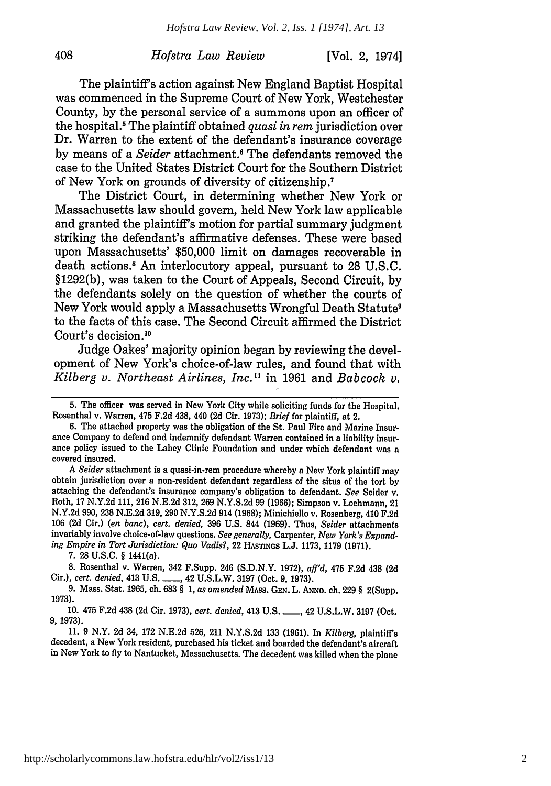## *Hofstra Law Review* [Vol. 2, 19741

The plaintiff's action against New England Baptist Hospital was commenced in the Supreme Court of New York, Westchester County, by the personal service of a summons upon an officer of the hospital.5 The plaintiff obtained *quasi in rem* jurisdiction over Dr. Warren to the extent of the defendant's insurance coverage by means of a *Seider* attachment.<sup>6</sup> The defendants removed the case to the United States District Court for the Southern District of New York on grounds of diversity of citizenship.7

The District Court, in determining whether New York or Massachusetts law should govern, held New York law applicable and granted the plaintiff's motion for partial summary judgment striking the defendant's affirmative defenses. These were based upon Massachusetts' \$50,000 limit on damages recoverable in death actions.8 An interlocutory appeal, pursuant to 28 U.S.C. §1292(b), was taken to the Court of Appeals, Second Circuit, by the defendants solely on the question of whether the courts of New York would apply a Massachusetts Wrongful Death Statute9 to the facts of this case. The Second Circuit affirmed the District Court's decision.<sup>10</sup>

Judge Oakes' majority opinion began by reviewing the development of New York's choice-of-law rules, and found that with *Kilberg v. Northeast Airlines, Inc."* in 1961 and *Babcock v.*

*A Seider* attachment is a quasi-in-rem procedure whereby a New York plaintiff may obtain jurisdiction over a non-resident defendant regardless of the situs of the tort by attaching the defendant's insurance company's obligation to defendant. *See* Seider v. Roth, 17 N.Y.2d 111, 216 N.E.2d 312, 269 N.Y.S.2d 99 (1966); Simpson v. Loehmann, 21 N.Y.2d 990, 238 N.E.2d 319, 290 N.Y.S.2d 914 (1968); Minichiello v. Rosenberg, 410 F.2d 106 (2d Cir.) *(en banc), cert. denied,* 396 U.S. 844 (1969). Thus, *Seider* attachments invariably involve choice-of-law questions. *See generally,* Carpenter, *New York's Expanding Empire in Tort Jurisdiction: Quo Vadis?,* 22 **HASTINS** L.J. 1173, 1179 (1971).

**7.** 28 **U.S.C.** § 1441(a).

408

**<sup>5.</sup>** The officer was served in New York City while soliciting funds for the Hospital. Rosenthal v. Warren, 475 F.2d 438, 440 **(2d** Cir. 1973); *Brief* for plaintiff, at 2.

<sup>6.</sup> The attached property was the obligation of the St. Paul Fire and Marine Insurance Company to defend and indemnify defendant Warren contained in a liability insurance policy issued to the Lahey Clinic Foundation and under which defendant was a covered insured.

**<sup>8.</sup>** Rosenthal v. Warren, 342 F.Supp. 246 (S.D.N.Y. 1972), *aff'd,* 475 F.2d 438 **(2d** Cir.), *cert. denied,* 413 U.S. **\_** 42 U.S.L.W. 3197 (Oct. 9, 1973).

<sup>9.</sup> Mass. Stat. 1965, ch. 683 § 1, *as amended* **MASS. GEN.** L. **ANNO.** ch. 229 § 2(Supp. 1973).

<sup>10. 475</sup> F.2d 438 (2d Cir. 1973), cert. denied, 413 U.S. \_\_\_, 42 U.S.L.W. 3197 (Oct. 9, 1973).

<sup>11. 9</sup> N.Y. 2d 34, 172 N.E.2d 526, 211 N.Y.S.2d 133 (1961). In *Kilberg,* plaintiff's decedent, a New York resident, purchased his ticket and boarded the defendant's aircraft in New York to fly to Nantucket, Massachusetts. The decedent was killed when the plane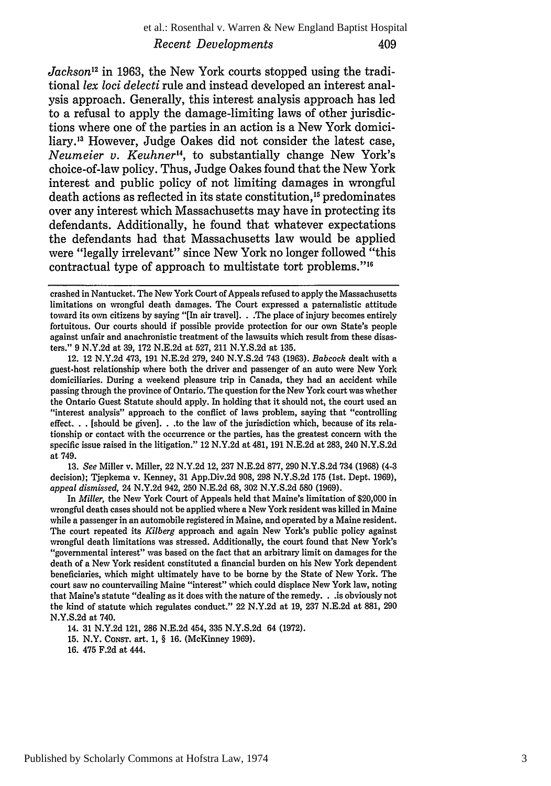#### et al.: Rosenthal v. Warren & New England Baptist Hospital *Recent Developments* 409

*Jackson'2* in 1963, the New York courts stopped using the traditional *lex loci delecti* rule and instead developed an interest analysis approach. Generally, this interest analysis approach has led to a refusal to apply the damage-limiting laws of other jurisdictions where one of the parties in an action is a New York domiciliary.<sup>13</sup> However, Judge Oakes did not consider the latest case, *Neumeier v. Keuhner",* to substantially change New York's choice-of-law policy. Thus, Judge Oakes found that the New York interest and public policy of not limiting damages in wrongful death actions as reflected in its state constitution.<sup>15</sup> predominates over any interest which Massachusetts may have in protecting its defendants. Additionally, he found that whatever expectations the defendants had that Massachusetts law would be applied were "legally irrelevant" since New York no longer followed "this contractual type of approach to multistate tort problems."<sup>16</sup>

12. 12 N.Y.2d 473, 191 N.E.2d 279, 240 N.Y.S.2d 743 (1963). *Babcock* dealt with a guest-host relationship where both the driver and passenger of an auto were New York domiciliaries. During a weekend pleasure trip in Canada, they had an accident while passing through the province of Ontario. The question for the New York court was whether the Ontario Guest Statute should apply. In holding that it should not, the court used an "interest analysis" approach to the conflict of laws problem, saying that "controlling effect. **.** .[should be given]. **. .to** the law of the jurisdiction which, because of its relationship or contact with the occurrence or the parties, has the greatest concern with the specific issue raised in the litigation." 12 N.Y.2d at 481, 191 N.E.2d at 283, 240 N.Y.S.2d at 749.

13. *See* Miller v. Miller, 22 N.Y.2d 12, 237 N.E.2d 877, 290 N.Y.S.2d 734 (1968) (4-3 decision); Tjepkema v. Kenney, 31 App.Div.2d 908, 298 N.Y.S.2d 175 (1st. Dept. 1969), *appeal dismissed,* 24 N.Y.2d 942, 250 N.E.2d 68, 302 N.Y.S.2d **580** (1969).

In *Miller,* the New York Court of Appeals held that Maine's limitation of \$20,000 in wrongful death cases should not be applied where a New York resident was killed in Maine while a passenger in an automobile registered in Maine, and operated by a Maine resident. The court repeated its *Kilberg* approach and again New York's public policy against wrongful death limitations was stressed. Additionally, the court found that New York's "governmental interest" was based on the fact that an arbitrary limit on damages for the death of a New York resident constituted a financial burden on his New York dependent beneficiaries, which might ultimately have to be **borne by** the State of New York. The court saw no countervailing Maine "interest" which could displace New York law, noting that Maine's statute "dealing as it does with the nature of the remedy. **. .is** obviously not the kind of statute which regulates conduct." 22 N.Y.2d at 19, 237 N.E.2d at 881, 290 N.Y.S.2d at 740.

14. 31 N.Y.2d 121, 286 N.E.2d 454, 335 N.Y.S.2d 64 (1972).

15. N.Y. CONST. art. 1, § 16. (McKinney 1969).

16. 475 F.2d at 444.

crashed in Nantucket. The New York Court of Appeals refused to apply the Massachusetts limitations on wrongful death damages. The Court expressed a paternalistic attitude toward its own citizens by saying "[In air travel]. **.** .The place of injury becomes entirely fortuitous. Our courts should if possible provide protection for our own State's people against unfair and anachronistic treatment of the lawsuits which result from these disasters." 9 N.Y.2d at 39, 172 N.E.2d at 527, 211 N.Y.S.2d at 135.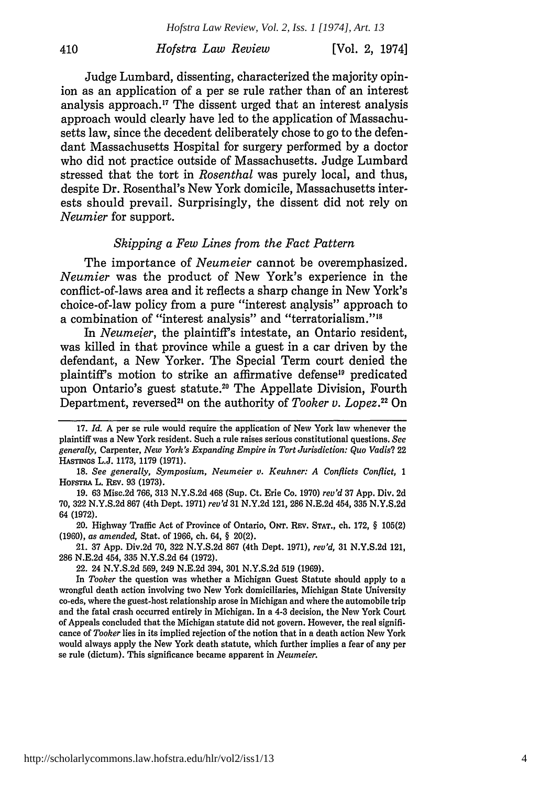[Vol. 2, 1974]

Judge Lumbard, dissenting, characterized the majority opinion as an application of a per se rule rather than of an interest analysis approach.<sup>17</sup> The dissent urged that an interest analysis approach would clearly have led to the application of Massachusetts law, since the decedent deliberately chose to go to the defendant Massachusetts Hospital for surgery performed **by** a doctor who did not practice outside of Massachusetts. Judge Lumbard stressed that the tort in *Rosenthal* was purely local, and thus, despite Dr. Rosenthal's New York domicile, Massachusetts interests should prevail. Surprisingly, the dissent did not rely on *Neumier* for support.

## *Skipping a Few Lines from the Fact Pattern*

The importance of *Neumeier* cannot be overemphasized. *Neumier* was the product of New York's experience in the conflict-of-laws area and it reflects a sharp change in New York's choice-of-law policy from a pure "interest analysis" approach to a combination of "interest analysis" and "terratorialism."<sup>18</sup>

In *Neumejer,* the plaintiffs intestate, an Ontario resident, was killed in that province while a guest in a car driven **by** the defendant, a New Yorker. The Special Term court denied the plaintiff's motion to strike an affirmative defense<sup>19</sup> predicated upon Ontario's guest statute.<sup>20</sup> The Appellate Division, Fourth Department, reversed<sup>21</sup> on the authority of *Tooker v. Lopez*.<sup>22</sup> Or

20. Highway Traffic Act of Province of Ontario, **ONT.** REv. **STAT.,** ch. **172,** § **105(2) (1960),** *as amended,* Stat. of **1966,** ch. 64, § 20(2).

21. **37 App.** Div.2d **70, 322 N.Y.S.2d 867** (4th Dept. **1971),** *rev'd,* **31 N.Y.S.2d** 121, **286 N.E.2d** 454, **335 N.Y.S.2d** 64 **(1972).**

22. 24 **N.Y.S.2d 569,** 249 **N.E.2d** 394, **301 N.Y.S.2d 519 (1969).**

**<sup>17.</sup>** *Id.* A per se rule would require the application of New York law whenever the plaintiff was a New York resident. Such a rule raises serious constitutional questions. **See** *generally,* Carpenter, *New York's Expanding Empire in Tort Jurisdiction: Quo Vadis?* 22 **HASTINGs L.J. 1173, 1179 (1971).**

**<sup>18.</sup>** *See generally, Symposium, Neumeier* **v.** *Keuhner: A Conflicts Conflict, 1* **HOFSTRA** L. REv. **93 (1973).**

**<sup>19. 63</sup>** Misc.2d **766, 313 N.Y.S.2d** 468 (Sup. Ct. Erie Co. **1970)** *rev'd* **37 App.** Div. **2d 70, 322 N.Y.S.2d 867** (4th Dept. **1971)** *rev'd* **31 N.Y.2d** 121, **286 N.E.2d** 454, **335 N.Y.S.2d** 64 **(1972).**

In *Tooker* the question was whether a Michigan Guest Statute should apply to a wrongful death action involving two New York domiciliaries, Michigan State University co-eds, where the guest-host relationship arose in Michigan and where the automobile trip and the fatal crash occurred entirely in Michigan. In a **4-3** decision, the New York Court of Appeals concluded that the Michigan statute did not govern. However, the real significance of *Tooker* lies in its implied rejection of the notion that in a death action New York would always apply the New York death statute, which further implies a fear of any per se rule (dictum). This significance became apparent in *Neumeier.*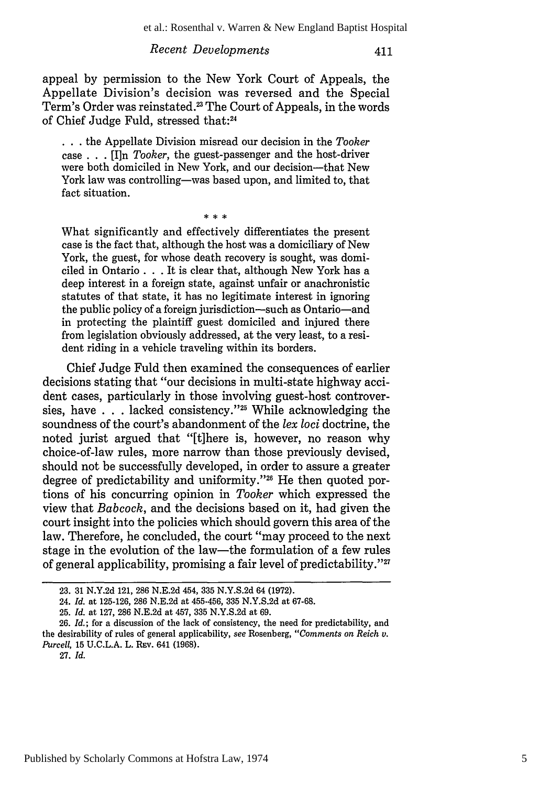### *Recent Developments*

411

appeal by permission to the New York Court of Appeals, the Appellate Division's decision was reversed and the Special Term's Order was reinstated.<sup>23</sup> The Court of Appeals, in the words of Chief Judge Fuld, stressed that:24

**...** the Appellate Division misread our decision in the *Tooker* case . . . [I]n *Tooker,* the guest-passenger and the host-driver were both domiciled in New York, and our decision-that New York law was controlling-was based upon, and limited to, that fact situation.

 $* * *$ 

What significantly and effectively differentiates the present case is the fact that, although the host was a domiciliary of New York, the guest, for whose death recovery is sought, was domiciled in Ontario **. .** . It is clear that, although New York has a deep interest in a foreign state, against unfair or anachronistic statutes of that state, it has no legitimate interest in ignoring the public policy of a foreign jurisdiction-such as Ontario-and in protecting the plaintiff guest domiciled and injured there from legislation obviously addressed, at the very least, to a resident riding in a vehicle traveling within its borders.

Chief Judge Fuld then examined the consequences of earlier decisions stating that "our decisions in multi-state highway accident cases, particularly in those involving guest-host controversies, have . . . lacked consistency."25 While acknowledging the soundness of the court's abandonment of the *lex loci* doctrine, the noted jurist argued that "[tihere is, however, no reason why choice-of-law rules, more narrow than those previously devised, should not be successfully developed, in order to assure a greater degree of predictability and uniformity."<sup>26</sup> He then quoted portions of his concurring opinion in *Tooker* which expressed the view that *Babcock,* and the decisions based on it, had given the court insight into the policies which should govern this area of the law. Therefore, he concluded, the court "may proceed to the next stage in the evolution of the law-the formulation of a few rules of general applicability, promising a fair level of predictability."27

<sup>23. 31</sup> N.Y.2d 121, 286 N.E.2d 454, 335 N.Y.S.2d 64 (1972).

<sup>24.</sup> *Id.* at 125-126, 286 N.E.2d at 455-456, 335 N.Y.S.2d at 67-68.

<sup>25.</sup> *Id.* at 127, 286 N.E.2d at 457, 335 N.Y.S.2d at 69.

<sup>26.</sup> *Id.;* for a discussion of the lack of consistency, the need for predictability, and the desirability of rules of general applicability, *see* Rosenberg, *"Comments on Reich v. Purcell, 15 U.C.L.A. L. REv. 641 (1968).* 

<sup>27.</sup> *Id.*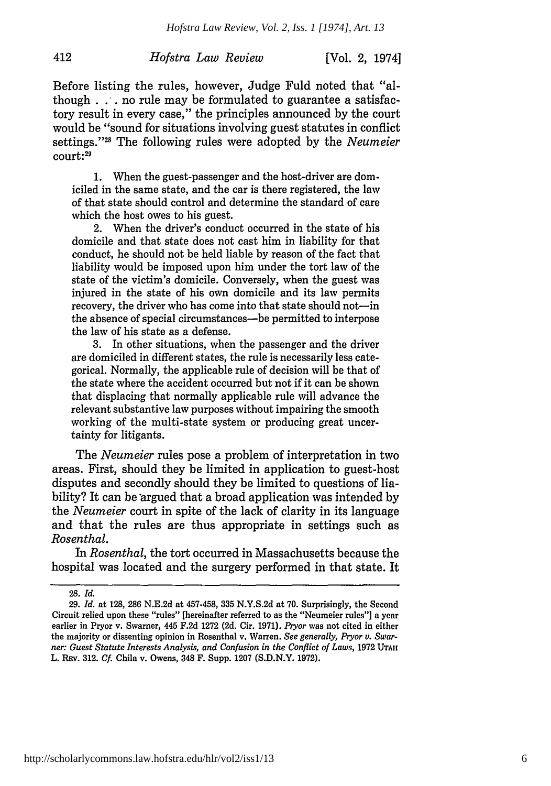412

[Vol. 2, 1974]

Before listing the rules, however, Judge Fuld noted that "although **. .,.** no rule may be formulated to guarantee a satisfactory result in every case," the principles announced by the court would be "sound for situations involving guest statutes in conflict settings."<sup>28</sup> The following rules were adopted by the *Neumeier* court:<sup>29</sup>

**1.** When the guest-passenger and the host-driver are domiciled in the same state, and the car is there registered, the law of that state should control and determine the standard of care which the host owes to his guest.

2. When the driver's conduct occurred in the state of his domicile and that state does not cast him in liability for that conduct, he should not be held liable by reason of the fact that liability would be imposed upon him under the tort law of the state of the victim's domicile. Conversely, when the guest was injured in the state of his own domicile and its law permits recovery, the driver who has come into that state should not-in the absence of special circumstances-be permitted to interpose the law of his state as a defense.

3. In other situations, when the passenger and the driver are domiciled in different states, the rule is necessarily less categorical. Normally, the applicable rule of decision will be that of the state where the accident occurred but not if it can be shown that displacing that normally applicable rule will advance the relevant substantive law purposes without impairing the smooth working of the multi-state system or producing great uncertainty for litigants.

The *Neumeier* rules pose a problem of interpretation in two areas. First, should they be limited in application to guest-host disputes and secondly should they be limited to questions of liability? It can be argued that a broad application was intended by the *Neumeier* court in spite of the lack of clarity in its language and that the rules are thus appropriate in settings such as *Rosenthal.*

In *Rosenthal,* the tort occurred in Massachusetts because the hospital was located and the surgery performed in that state. It

<sup>28.</sup> *Id.*

<sup>29.</sup> *Id.* at 128, 286 N.E.2d at 457-458, 335 N.Y.S.2d at 70. Surprisingly, the Second Circuit relied upon these "rules" [hereinafter referred to as the "Neumeier rules"] a year earlier in Pryor v. Swarner, 445 F.2d 1272 (2d. Cir. 1971). *Pryor* was not cited in either the majority or dissenting opinion in Rosenthal v. Warren. *See generally, Pryor* **v.** *Swarner: Guest Statute Interests Analysis, and Confusion in the Conflict of Laws,* 1972 **UTAH** L. Rev. 312. *Cf.* Chila v. Owens, 348 F. Supp. 1207 (S.D.N.Y. 1972).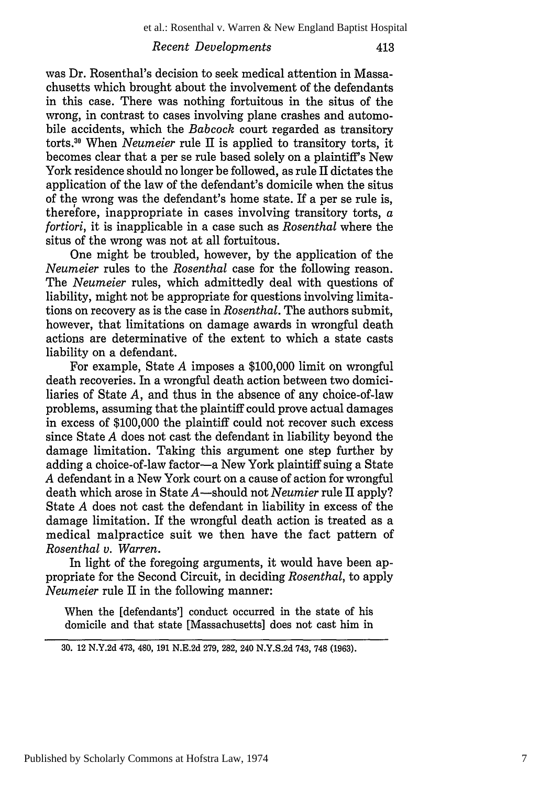413

## *Recent Developments*

was Dr. Rosenthal's decision to seek medical attention in Massachusetts which brought about the involvement of the defendants in this case. There was nothing fortuitous in the situs of the wrong, in contrast to cases involving plane crashes and automobile accidents, which the *Babcock* court regarded as transitory torts. 0 When *Neumeier* rule II is applied to transitory torts, it becomes clear that a per se rule based solely on a plaintiff's New York residence should no longer be followed, as rule II dictates the application of the law of the defendant's domicile when the situs of the wrong was the defendant's home state. If a per se rule is, therefore, inappropriate in cases involving transitory torts,  $a$ *fortiori,* it is inapplicable in a case such as *Rosenthal* where the situs of the wrong was not at all fortuitous.

One might be troubled, however, by the application of the *Neumeier* rules to the *Rosenthal* case for the following reason. The *Neumeier* rules, which admittedly deal with questions of liability, might not be appropriate for questions involving limitations on recovery as is the case in *Rosenthal.* The authors submit, however, that limitations on damage awards in wrongful death actions are determinative of the extent to which a state casts liability on a defendant.

For example, State *A* imposes a \$100,000 limit on wrongful death recoveries. In a wrongful death action between two domiciliaries of State *A,* and thus in the absence of any choice-of-law problems, assuming that the plaintiff could prove actual damages in excess of \$100,000 the plaintiff could not recover such excess since State *A* does not cast the defendant in liability beyond the damage limitation. Taking this argument one step further by adding a choice-of-law factor-a New York plaintiff suing a State *A* defendant in a New York court on a cause of action for wrongful death which arose in State A-should not *Neumier* rule II apply? State *A* does not cast the defendant in liability in excess of the damage limitation. If the wrongful death action is treated as a medical malpractice suit we then have the fact pattern of *Rosenthal v. Warren.*

In light of the foregoing arguments, it would have been appropriate for the Second Circuit, in deciding *Rosenthal,* to apply *Neumeier* rule II in the following manner:

When the [defendants'] conduct occurred in the state of his domicile and that state [Massachusetts] does not cast him in

<sup>30. 12</sup> N.Y.2d 473, 480, 191 N.E.2d 279, 282, 240 N.Y.S.2d 743, 748 (1963).